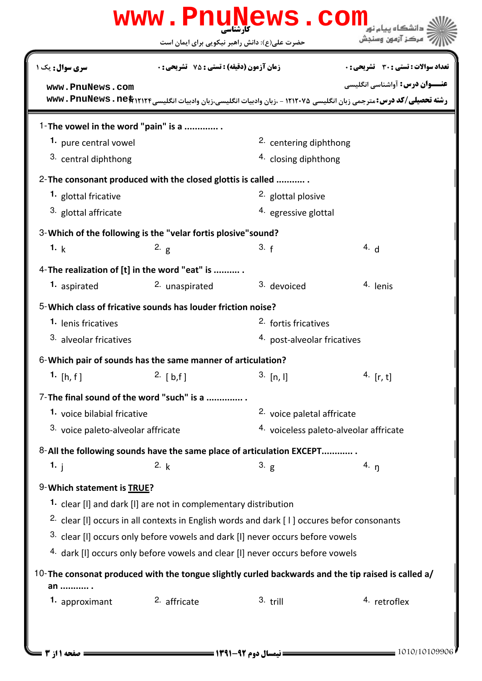|                                                              |                                                                 | www.PnuNews.com                                                                                       |                                                                                                                                                             |  |  |
|--------------------------------------------------------------|-----------------------------------------------------------------|-------------------------------------------------------------------------------------------------------|-------------------------------------------------------------------------------------------------------------------------------------------------------------|--|--|
|                                                              |                                                                 | حضرت علی(ع): دانش راهبر نیکویی برای ایمان است                                                         | مركز آزمون وسنجش                                                                                                                                            |  |  |
| <b>سری سوال :</b> یک ۱                                       | زمان آزمون (دقیقه) : تستی : 75 ٪ تشریحی : 0                     |                                                                                                       | تعداد سوالات : تستي : 30 ٪ تشريحي : 0                                                                                                                       |  |  |
| www.PnuNews.com                                              |                                                                 |                                                                                                       | <b>عنــوان درس:</b> آواشناسي انگليسي<br>رشته تحصیلی/کد درس: مترجمی زبان انگلیسی ۱۲۱۲۰۷۵ - ،زبان وادبیات انگلیسی،زبان وادبیات انگلیسی۱۲۱۲۴\$ . www . PnuNews |  |  |
|                                                              |                                                                 |                                                                                                       |                                                                                                                                                             |  |  |
| 1-The vowel in the word "pain" is a<br>1. pure central vowel |                                                                 | 2. centering diphthong                                                                                |                                                                                                                                                             |  |  |
| 3. central diphthong                                         |                                                                 |                                                                                                       | <sup>4.</sup> closing diphthong                                                                                                                             |  |  |
|                                                              |                                                                 |                                                                                                       |                                                                                                                                                             |  |  |
| 1. glottal fricative                                         | 2- The consonant produced with the closed glottis is called     | 2. glottal plosive                                                                                    |                                                                                                                                                             |  |  |
| <sup>3</sup> glottal affricate                               |                                                                 | 4. egressive glottal                                                                                  |                                                                                                                                                             |  |  |
|                                                              |                                                                 |                                                                                                       |                                                                                                                                                             |  |  |
|                                                              | 3-Which of the following is the "velar fortis plosive" sound?   |                                                                                                       |                                                                                                                                                             |  |  |
| 1. k                                                         | 2. $g$                                                          | 3. f                                                                                                  | 4. d                                                                                                                                                        |  |  |
|                                                              | 4-The realization of [t] in the word "eat" is                   |                                                                                                       |                                                                                                                                                             |  |  |
| 1. aspirated                                                 | 2. unaspirated                                                  | 3. devoiced                                                                                           | 4. lenis                                                                                                                                                    |  |  |
|                                                              | 5-Which class of fricative sounds has louder friction noise?    |                                                                                                       |                                                                                                                                                             |  |  |
| 1. lenis fricatives                                          |                                                                 | <sup>2.</sup> fortis fricatives                                                                       |                                                                                                                                                             |  |  |
| 3. alveolar fricatives                                       |                                                                 | 4. post-alveolar fricatives                                                                           |                                                                                                                                                             |  |  |
|                                                              | 6-Which pair of sounds has the same manner of articulation?     |                                                                                                       |                                                                                                                                                             |  |  |
| 1. $[h, f]$                                                  | 2. [b,f]                                                        | $3.$ [n, I]                                                                                           | 4. $[r, t]$                                                                                                                                                 |  |  |
|                                                              | 7-The final sound of the word "such" is a                       |                                                                                                       |                                                                                                                                                             |  |  |
|                                                              | 1. voice bilabial fricative                                     |                                                                                                       | 2. voice paletal affricate                                                                                                                                  |  |  |
|                                                              | 3. voice paleto-alveolar affricate                              |                                                                                                       | 4. voiceless paleto-alveolar affricate                                                                                                                      |  |  |
|                                                              |                                                                 | 8-All the following sounds have the same place of articulation EXCEPT                                 |                                                                                                                                                             |  |  |
| 1.1                                                          | 2. k                                                            | 3. g                                                                                                  | 4. $\eta$                                                                                                                                                   |  |  |
| 9-Which statement is TRUE?                                   |                                                                 |                                                                                                       |                                                                                                                                                             |  |  |
|                                                              | 1. clear [I] and dark [I] are not in complementary distribution |                                                                                                       |                                                                                                                                                             |  |  |
|                                                              |                                                                 | <sup>2.</sup> clear [I] occurs in all contexts in English words and dark [1] occures befor consonants |                                                                                                                                                             |  |  |
|                                                              |                                                                 | 3. clear [I] occurs only before vowels and dark [I] never occurs before vowels                        |                                                                                                                                                             |  |  |
|                                                              |                                                                 | 4. dark [I] occurs only before vowels and clear [I] never occurs before vowels                        |                                                                                                                                                             |  |  |
|                                                              |                                                                 |                                                                                                       | 10-The consonat produced with the tongue slightly curled backwards and the tip raised is called a/                                                          |  |  |
| an  .                                                        |                                                                 |                                                                                                       |                                                                                                                                                             |  |  |
| 1. approximant                                               | 2. affricate                                                    | $3.$ trill                                                                                            | 4. retroflex                                                                                                                                                |  |  |
|                                                              |                                                                 |                                                                                                       |                                                                                                                                                             |  |  |
|                                                              |                                                                 |                                                                                                       |                                                                                                                                                             |  |  |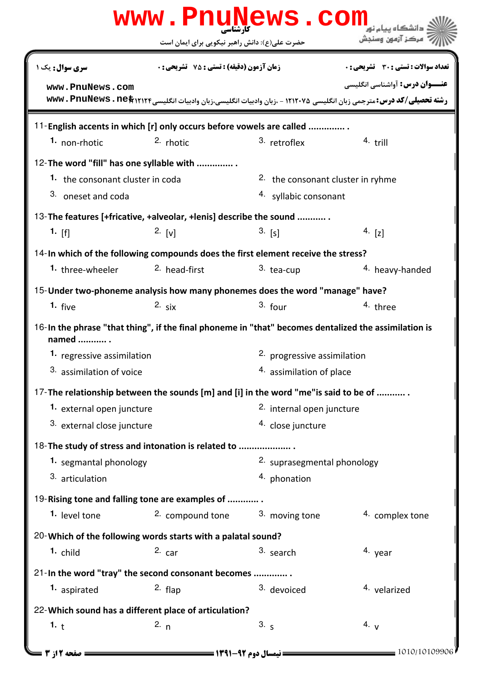| www.PnuNews.com                                                                                               |                                               |                                   |                                                                                                                           |  |  |  |
|---------------------------------------------------------------------------------------------------------------|-----------------------------------------------|-----------------------------------|---------------------------------------------------------------------------------------------------------------------------|--|--|--|
|                                                                                                               | حضرت علی(ع): دانش راهبر نیکویی برای ایمان است |                                   | مركز آزمون وسنجش                                                                                                          |  |  |  |
| <b>سری سوال :</b> یک ۱                                                                                        | زمان آزمون (دقیقه) : تستی : 75 ٪ تشریحی : 0   |                                   | <b>تعداد سوالات : تستی : 30 ٪ تشریحی : 0</b>                                                                              |  |  |  |
| www.PnuNews.com                                                                                               |                                               |                                   | <b>عنــوان درس:</b> آواشناسي انگليسي                                                                                      |  |  |  |
|                                                                                                               |                                               |                                   | رشته تحصیلی/کد درس: مترجمی زبان انگلیسی ۱۲۱۲۰۷۵ - ،زبان وادبیات انگلیسی،زبان وادبیات انگلیسی۱۲۱۲۴\$۲۱۳ WWW . PnuNews . ne |  |  |  |
| 11-English accents in which [r] only occurs before vowels are called                                          |                                               |                                   |                                                                                                                           |  |  |  |
| 1. non-rhotic                                                                                                 | 2. rhotic                                     | 3. retroflex                      | $4.$ trill                                                                                                                |  |  |  |
| 12-The word "fill" has one syllable with                                                                      |                                               |                                   |                                                                                                                           |  |  |  |
| 1. the consonant cluster in coda                                                                              |                                               | 2. the consonant cluster in ryhme |                                                                                                                           |  |  |  |
| 3. oneset and coda                                                                                            |                                               | 4. syllabic consonant             |                                                                                                                           |  |  |  |
| 13-The features [+fricative, +alveolar, +lenis] describe the sound                                            |                                               |                                   |                                                                                                                           |  |  |  |
| 1. $[f]$                                                                                                      | 2. [v]                                        | $3.$ [s]                          | 4. $[z]$                                                                                                                  |  |  |  |
| 14-In which of the following compounds does the first element receive the stress?                             |                                               |                                   |                                                                                                                           |  |  |  |
| 1. three-wheeler                                                                                              | <sup>2.</sup> head-first                      | 3. tea-cup                        | 4. heavy-handed                                                                                                           |  |  |  |
| 15-Under two-phoneme analysis how many phonemes does the word "manage" have?                                  |                                               |                                   |                                                                                                                           |  |  |  |
| 1. $five$                                                                                                     | 2. $six$                                      | $3.$ four                         | 4. three                                                                                                                  |  |  |  |
| 16-In the phrase "that thing", if the final phoneme in "that" becomes dentalized the assimilation is<br>named |                                               |                                   |                                                                                                                           |  |  |  |
| 1. regressive assimilation                                                                                    |                                               | 2. progressive assimilation       |                                                                                                                           |  |  |  |
| 3. assimilation of voice                                                                                      |                                               | 4. assimilation of place          |                                                                                                                           |  |  |  |
| 17-The relationship between the sounds [m] and [i] in the word "me" is said to be of                          |                                               |                                   |                                                                                                                           |  |  |  |
| 1. external open juncture                                                                                     |                                               | 2. internal open juncture         |                                                                                                                           |  |  |  |
| 3. external close juncture                                                                                    |                                               | 4. close juncture                 |                                                                                                                           |  |  |  |
| 18-The study of stress and intonation is related to                                                           |                                               |                                   |                                                                                                                           |  |  |  |
| 1. segmantal phonology                                                                                        |                                               | 2. suprasegmental phonology       |                                                                                                                           |  |  |  |
| 3. articulation                                                                                               |                                               | 4. phonation                      |                                                                                                                           |  |  |  |
| 19-Rising tone and falling tone are examples of                                                               |                                               |                                   |                                                                                                                           |  |  |  |
| 1. level tone                                                                                                 | 2. compound tone $3.$ moving tone             |                                   | 4. complex tone                                                                                                           |  |  |  |
| 20-Which of the following words starts with a palatal sound?                                                  |                                               |                                   |                                                                                                                           |  |  |  |
| 1. child                                                                                                      | $2.$ car                                      | 3. search                         | 4. year                                                                                                                   |  |  |  |
| 21-In the word "tray" the second consonant becomes                                                            |                                               |                                   |                                                                                                                           |  |  |  |
| 1. aspirated                                                                                                  | $2.$ flap                                     | 3. devoiced                       | <sup>4.</sup> velarized                                                                                                   |  |  |  |
| 22-Which sound has a different place of articulation?                                                         |                                               |                                   |                                                                                                                           |  |  |  |
| 1. t                                                                                                          | 2. $n$                                        | 3.5                               | 4. $V$                                                                                                                    |  |  |  |
| 1010/10109906<br><b>= صفحه 12; 3</b>                                                                          |                                               |                                   |                                                                                                                           |  |  |  |